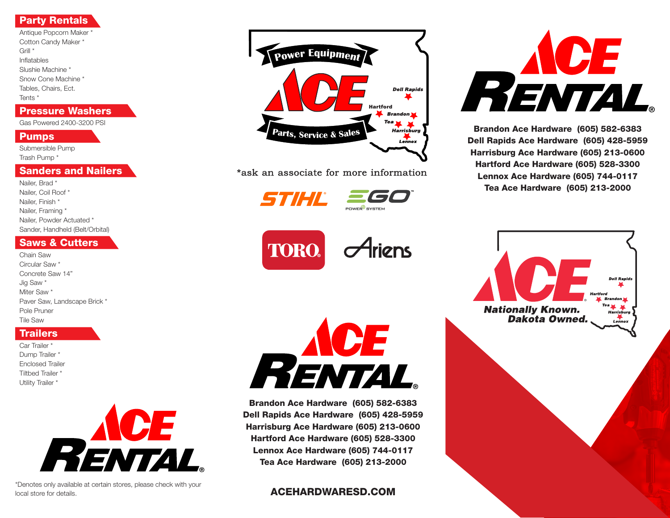## Party Rentals

Antique Popcorn Maker \* Cotton Candy Maker \* Grill \* Inflatables Slushie Machine \* Snow Cone Machine \* Tables, Chairs, Ect. Tents \*

#### Pressure Washers

Gas Powered 2400-3200 PSI

#### **Pumps**

Submersible Pump Trash Pump \*

#### Sanders and Nailers

Nailer, Brad \* Nailer, Coil Roof \* Nailer, Finish \* Nailer, Framing \* Nailer, Powder Actuated \* Sander, Handheld (Belt/Orbital)

### Saws & Cutters

Chain Saw Circular Saw \* Concrete Saw 14" Jig Saw \* Miter Saw \* Paver Saw, Landscape Brick \* Pole Pruner Tile Saw

# **Trailers**

Car Trailer \* Dump Trailer \* Enclosed Trailer Tiltbed Trailer \* Utility Trailer \*



\*Denotes only available at certain stores, please check with your local store for details.



\*ask an associate for more information

STIHI

**<sup>P</sup>owe<sup>r</sup> <sup>E</sup>quipmen<sup>t</sup>**





Brandon Ace Hardware (605) 582-6383 Dell Rapids Ace Hardware (605) 428-5959 Harrisburg Ace Hardware (605) 213-0600 **hartford Ace Hardware (605) 528-3300** *<b>k***le dnzhicity <b>alricity <b>a** Tea Ace Hardware (605) 213-2000

ACEHARDWARESD.COM



Brandon Ace Hardware (605) 582-6383 **Dell Rapids Ace Hardware (605) 428-5959** Harrisburg Ace Hardware (605) 213-0600 **<sup>P</sup>owe<sup>r</sup> <sup>E</sup>quipmen<sup>t</sup>** Hartford Ace Hardware (605) 528-3300 Lennox Ace Hardware (605) 744-0117 Tea Ace Hardware (605) 213-2000 *Hartford*